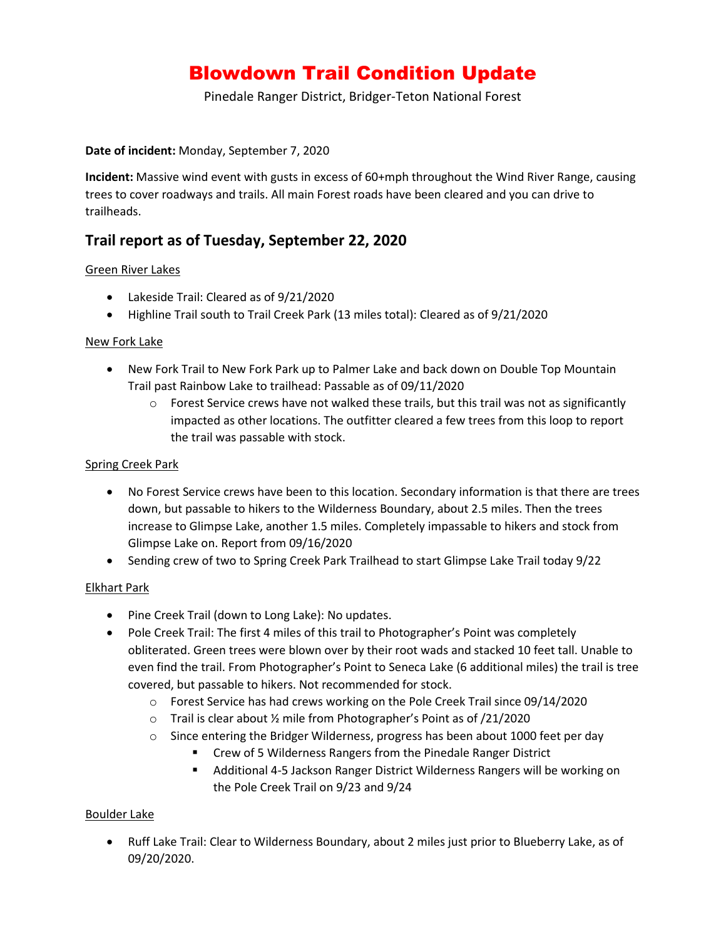# Blowdown Trail Condition Update

Pinedale Ranger District, Bridger-Teton National Forest

#### **Date of incident:** Monday, September 7, 2020

**Incident:** Massive wind event with gusts in excess of 60+mph throughout the Wind River Range, causing trees to cover roadways and trails. All main Forest roads have been cleared and you can drive to trailheads.

# **Trail report as of Tuesday, September 22, 2020**

## Green River Lakes

- Lakeside Trail: Cleared as of 9/21/2020
- Highline Trail south to Trail Creek Park (13 miles total): Cleared as of 9/21/2020

#### New Fork Lake

- New Fork Trail to New Fork Park up to Palmer Lake and back down on Double Top Mountain Trail past Rainbow Lake to trailhead: Passable as of 09/11/2020
	- $\circ$  Forest Service crews have not walked these trails, but this trail was not as significantly impacted as other locations. The outfitter cleared a few trees from this loop to report the trail was passable with stock.

#### Spring Creek Park

- No Forest Service crews have been to this location. Secondary information is that there are trees down, but passable to hikers to the Wilderness Boundary, about 2.5 miles. Then the trees increase to Glimpse Lake, another 1.5 miles. Completely impassable to hikers and stock from Glimpse Lake on. Report from 09/16/2020
- Sending crew of two to Spring Creek Park Trailhead to start Glimpse Lake Trail today 9/22

#### Elkhart Park

- Pine Creek Trail (down to Long Lake): No updates.
- Pole Creek Trail: The first 4 miles of this trail to Photographer's Point was completely obliterated. Green trees were blown over by their root wads and stacked 10 feet tall. Unable to even find the trail. From Photographer's Point to Seneca Lake (6 additional miles) the trail is tree covered, but passable to hikers. Not recommended for stock.
	- $\circ$  Forest Service has had crews working on the Pole Creek Trail since 09/14/2020
	- o Trail is clear about ½ mile from Photographer's Point as of /21/2020
	- o Since entering the Bridger Wilderness, progress has been about 1000 feet per day
		- Crew of 5 Wilderness Rangers from the Pinedale Ranger District
		- Additional 4-5 Jackson Ranger District Wilderness Rangers will be working on the Pole Creek Trail on 9/23 and 9/24

#### Boulder Lake

• Ruff Lake Trail: Clear to Wilderness Boundary, about 2 miles just prior to Blueberry Lake, as of 09/20/2020.